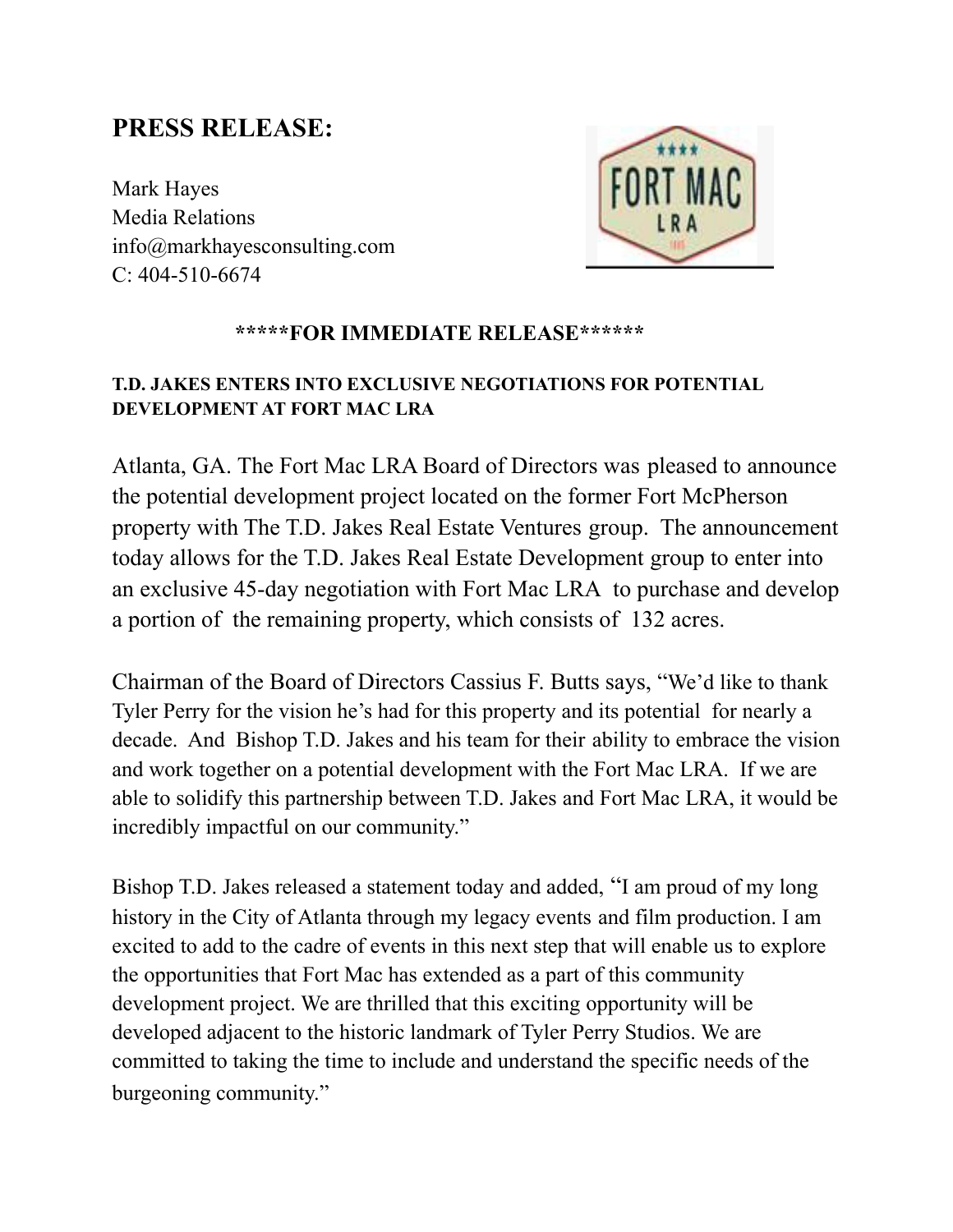## **PRESS RELEASE:**

Mark Hayes Media Relations info@markhayesconsulting.com C: 404-510-6674



## **\*\*\*\*\*FOR IMMEDIATE RELEASE\*\*\*\*\*\***

## **T.D. JAKES ENTERS INTO EXCLUSIVE NEGOTIATIONS FOR POTENTIAL DEVELOPMENT AT FORT MAC LRA**

Atlanta, GA. The Fort Mac LRA Board of Directors was pleased to announce the potential development project located on the former Fort McPherson property with The T.D. Jakes Real Estate Ventures group. The announcement today allows for the T.D. Jakes Real Estate Development group to enter into an exclusive 45-day negotiation with Fort Mac LRA to purchase and develop a portion of the remaining property, which consists of 132 acres.

Chairman of the Board of Directors Cassius F. Butts says, "We'd like to thank Tyler Perry for the vision he's had for this property and its potential for nearly a decade. And Bishop T.D. Jakes and his team for their ability to embrace the vision and work together on a potential development with the Fort Mac LRA. If we are able to solidify this partnership between T.D. Jakes and Fort Mac LRA, it would be incredibly impactful on our community."

Bishop T.D. Jakes released a statement today and added, "I am proud of my long history in the City of Atlanta through my legacy events and film production. I am excited to add to the cadre of events in this next step that will enable us to explore the opportunities that Fort Mac has extended as a part of this community development project. We are thrilled that this exciting opportunity will be developed adjacent to the historic landmark of Tyler Perry Studios. We are committed to taking the time to include and understand the specific needs of the burgeoning community."